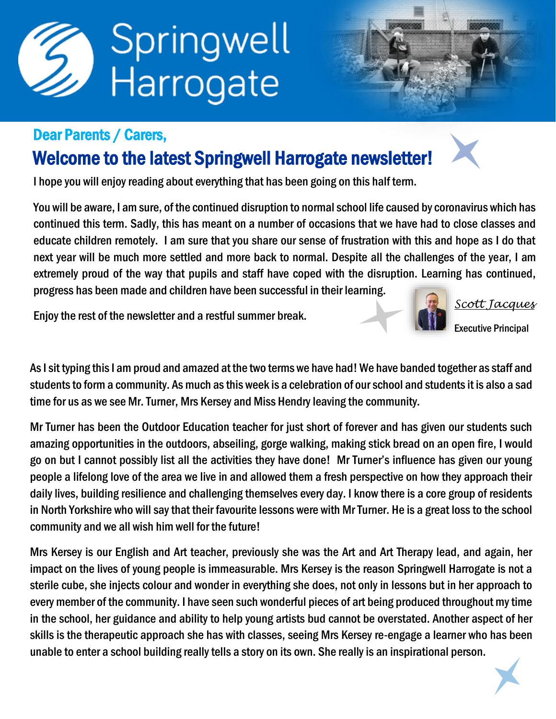

## Dear Parents / Carers,

## Welcome to the latest Springwell Harrogate newsletter!

I hope you will enjoy reading about everything that has been going on this half term.

You will be aware, I am sure, of the continued disruption to normal school life caused by coronavirus which has continued this term. Sadly, this has meant on a number of occasions that we have had to close classes and educate children remotely. I am sure that you share our sense of frustration with this and hope as I do that next year will be much more settled and more back to normal. Despite all the challenges of the year, I am extremely proud of the way that pupils and staff have coped with the disruption. Learning has continued, progress has been made and children have been successful in their learning.

Enjoy the rest of the newsletter and a restful summer break.



*Scott Jacques*

Executive Principal

As I sit typing this I am proud and amazed at the two terms we have had! We have banded together as staff and students to form a community. As much as this week is a celebration of our school and students it is also a sad time for us as we see Mr. Turner, Mrs Kersey and Miss Hendry leaving the community.

Mr Turner has been the Outdoor Education teacher for just short of forever and has given our students such amazing opportunities in the outdoors, abseiling, gorge walking, making stick bread on an open fire, I would go on but I cannot possibly list all the activities they have done! Mr Turner's influence has given our young people a lifelong love of the area we live in and allowed them a fresh perspective on how they approach their daily lives, building resilience and challenging themselves every day. I know there is a core group of residents in North Yorkshire who will say that their favourite lessons were with Mr Turner. He is a great loss to the school community and we all wish him well for the future!

Mrs Kersey is our English and Art teacher, previously she was the Art and Art Therapy lead, and again, her impact on the lives of young people is immeasurable. Mrs Kersey is the reason Springwell Harrogate is not a sterile cube, she injects colour and wonder in everything she does, not only in lessons but in her approach to every member of the community. I have seen such wonderful pieces of art being produced throughout my time in the school, her guidance and ability to help young artists bud cannot be overstated. Another aspect of her skills is the therapeutic approach she has with classes, seeing Mrs Kersey re-engage a learner who has been unable to enter a school building really tells a story on its own. She really is an inspirational person.